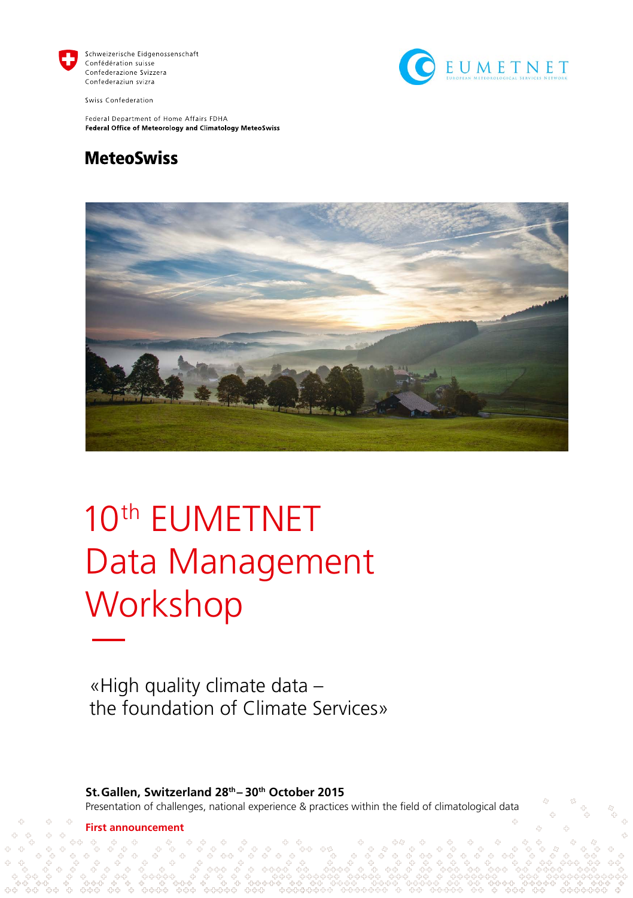

Schweizerische Eidgenossenschaft Confédération suisse Confederazione Svizzera Confederaziun svizra



Swiss Confederation

Federal Department of Home Affairs FDHA Federal Office of Meteorology and Climatology MeteoSwiss

### **MeteoSwiss**



# 10th EUMETNET Data Management **Workshop**

«High quality climate data – the foundation of Climate Services»

**St.Gallen, Switzerland 28th – 30th October 2015** Presentation of challenges, national experience & practices within the field of climatological data

**First announcement**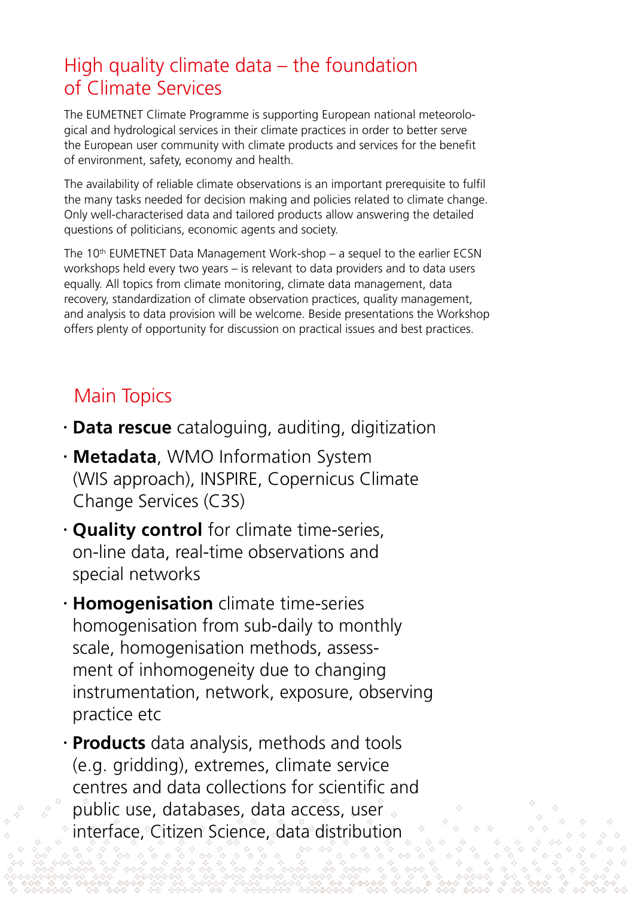# High quality climate data – the foundation of Climate Services

The EUMETNET Climate Programme is supporting European national meteorological and hydrological services in their climate practices in order to better serve the European user community with climate products and services for the benefit of environment, safety, economy and health.

The availability of reliable climate observations is an important prerequisite to fulfil the many tasks needed for decision making and policies related to climate change. Only well-characterised data and tailored products allow answering the detailed questions of politicians, economic agents and society.

The 10th EUMETNET Data Management Work-shop – a sequel to the earlier ECSN workshops held every two years – is relevant to data providers and to data users equally. All topics from climate monitoring, climate data management, data recovery, standardization of climate observation practices, quality management, and analysis to data provision will be welcome. Beside presentations the Workshop offers plenty of opportunity for discussion on practical issues and best practices.

# Main Topics

- **Data rescue** cataloguing, auditing, digitization
- **Metadata**, WMO Information System (WIS approach), INSPIRE, Copernicus Climate Change Services (C3S)
- **Quality control** for climate time-series, on-line data, real-time observations and special networks
- **Homogenisation** climate time-series homogenisation from sub-daily to monthly scale, homogenisation methods, assessment of inhomogeneity due to changing instrumentation, network, exposure, observing practice etc
- **Products** data analysis, methods and tools (e.g. gridding), extremes, climate service centres and data collections for scientific and public use, databases, data access, user interface, Citizen Science, data distribution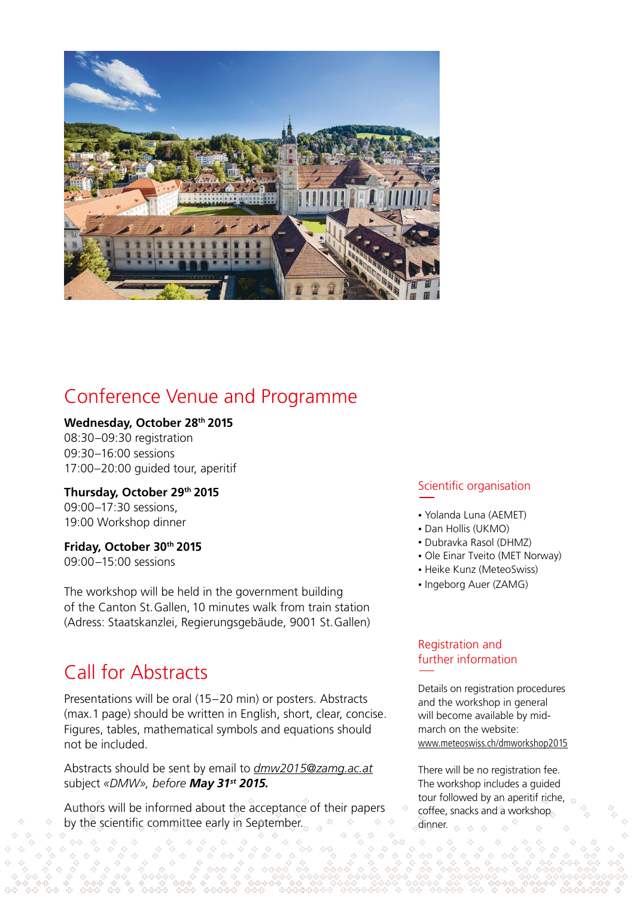

### Conference Venue and Programme

#### **Wednesday, October 28th 2015**

08:30–09:30 registration 09:30–16:00 sessions 17:00–20:00 guided tour, aperitif

**Thursday, October 29th 2015** 09:00–17:30 sessions, 19:00 Workshop dinner

**Friday, October 30th 2015**

09:00–15:00 sessions

The workshop will be held in the government building of the Canton St.Gallen, 10 minutes walk from train station (Adress: Staatskanzlei, Regierungsgebäude, 9001 St.Gallen)

### Call for Abstracts

Presentations will be oral (15–20 min) or posters. Abstracts (max.1 page) should be written in English, short, clear, concise. Figures, tables, mathematical symbols and equations should not be included.

Abstracts should be sent by email to *[dmw2015@zamg.ac.at](mailto:dmw2015%40zamg.ac.at?subject=DMW)* subject *«DMW», before May 31st 2015.*

Authors will be informed about the acceptance of their papers by the scientific committee early in September

### Scientific organisation

- Yolanda Luna (AEMET)
- Dan Hollis (UKMO)
- Dubravka Rasol (DHMZ)
- Ole Einar Tveito (MET Norway)
- Heike Kunz (MeteoSwiss)
- Ingeborg Auer (ZAMG)

### Registration and further information

Details on registration procedures and the workshop in general will become available by midmarch on the website: [www.meteoswiss.ch/dmworkshop2015](http://www.meteoswiss.ch/dmworkshop2015 )

There will be no registration fee. The workshop includes a guided tour followed by an aperitif riche, coffee, snacks and a workshop. dinner.